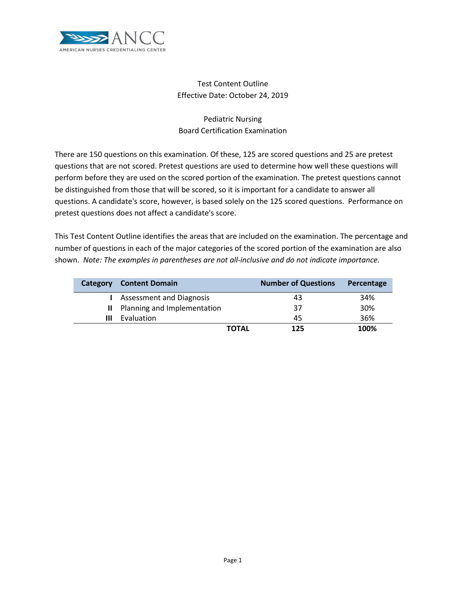

# Test Content Outline Effective Date: October 24, 2019

# Pediatric Nursing Board Certification Examination

There are 150 questions on this examination. Of these, 125 are scored questions and 25 are pretest questions that are not scored. Pretest questions are used to determine how well these questions will perform before they are used on the scored portion of the examination. The pretest questions cannot be distinguished from those that will be scored, so it is important for a candidate to answer all questions. A candidate's score, however, is based solely on the 125 scored questions. Performance on pretest questions does not affect a candidate's score.

This Test Content Outline identifies the areas that are included on the examination. The percentage and number of questions in each of the major categories of the scored portion of the examination are also shown. *Note: The examples in parentheses are not all-inclusive and do not indicate importance.*

| Category | <b>Content Domain</b>           | <b>Number of Questions</b> | Percentage |
|----------|---------------------------------|----------------------------|------------|
|          | <b>Assessment and Diagnosis</b> | 43                         | 34%        |
|          | II Planning and Implementation  | 37                         | 30%        |
| Ш        | Evaluation                      | 45                         | 36%        |
|          |                                 | <b>TOTAL</b><br>125        | 100%       |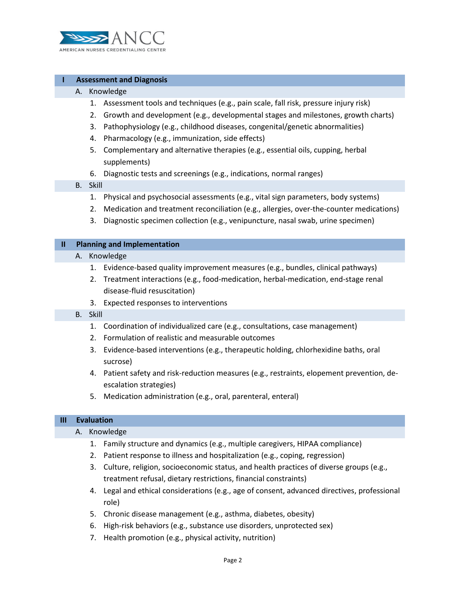

## **I Assessment and Diagnosis**

#### A. Knowledge

- 1. Assessment tools and techniques (e.g., pain scale, fall risk, pressure injury risk)
- 2. Growth and development (e.g., developmental stages and milestones, growth charts)
- 3. Pathophysiology (e.g., childhood diseases, congenital/genetic abnormalities)
- 4. Pharmacology (e.g., immunization, side effects)
- 5. Complementary and alternative therapies (e.g., essential oils, cupping, herbal supplements)
- 6. Diagnostic tests and screenings (e.g., indications, normal ranges)

## B. Skill

- 1. Physical and psychosocial assessments (e.g., vital sign parameters, body systems)
- 2. Medication and treatment reconciliation (e.g., allergies, over-the-counter medications)
- 3. Diagnostic specimen collection (e.g., venipuncture, nasal swab, urine specimen)

#### **II Planning and Implementation**

## A. Knowledge

- 1. Evidence-based quality improvement measures (e.g., bundles, clinical pathways)
- 2. Treatment interactions (e.g., food-medication, herbal-medication, end-stage renal disease-fluid resuscitation)
- 3. Expected responses to interventions

#### B. Skill

- 1. Coordination of individualized care (e.g., consultations, case management)
- 2. Formulation of realistic and measurable outcomes
- 3. Evidence-based interventions (e.g., therapeutic holding, chlorhexidine baths, oral sucrose)
- 4. Patient safety and risk-reduction measures (e.g., restraints, elopement prevention, deescalation strategies)
- 5. Medication administration (e.g., oral, parenteral, enteral)

## **III Evaluation**

#### A. Knowledge

- 1. Family structure and dynamics (e.g., multiple caregivers, HIPAA compliance)
- 2. Patient response to illness and hospitalization (e.g., coping, regression)
- 3. Culture, religion, socioeconomic status, and health practices of diverse groups (e.g., treatment refusal, dietary restrictions, financial constraints)
- 4. Legal and ethical considerations (e.g., age of consent, advanced directives, professional role)
- 5. Chronic disease management (e.g., asthma, diabetes, obesity)
- 6. High-risk behaviors (e.g., substance use disorders, unprotected sex)
- 7. Health promotion (e.g., physical activity, nutrition)